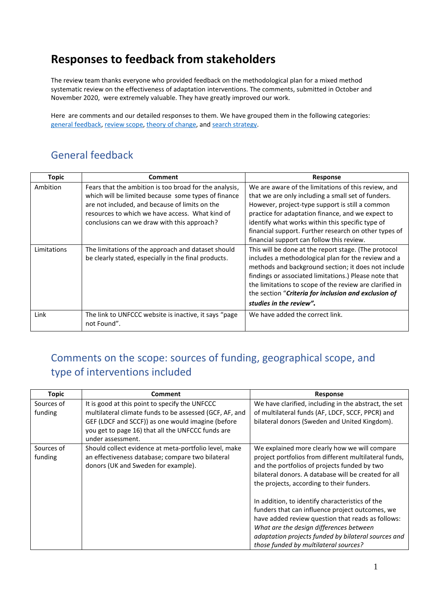### **Responses to feedback from stakeholders**

The review team thanks everyone who provided feedback on the methodological plan for a mixed method systematic review on the effectiveness of adaptation interventions. The comments, submitted in October and November 2020, were extremely valuable. They have greatly improved our work.

Here are comments and our detailed responses to them. We have grouped them in the following categories: [general feedback,](#page-0-0) [review scope,](#page-0-1) [theory of change,](#page-4-0) and [search strategy.](#page-7-0)

#### <span id="page-0-0"></span>General feedback

| <b>Topic</b> | Comment                                                                                                                                                                                                                                                           | Response                                                                                                                                                                                                                                                                                                                                                                    |
|--------------|-------------------------------------------------------------------------------------------------------------------------------------------------------------------------------------------------------------------------------------------------------------------|-----------------------------------------------------------------------------------------------------------------------------------------------------------------------------------------------------------------------------------------------------------------------------------------------------------------------------------------------------------------------------|
| Ambition     | Fears that the ambition is too broad for the analysis,<br>which will be limited because some types of finance<br>are not included, and because of limits on the<br>resources to which we have access. What kind of<br>conclusions can we draw with this approach? | We are aware of the limitations of this review, and<br>that we are only including a small set of funders.<br>However, project-type support is still a common<br>practice for adaptation finance, and we expect to<br>identify what works within this specific type of<br>financial support. Further research on other types of<br>financial support can follow this review. |
| Limitations  | The limitations of the approach and dataset should<br>be clearly stated, especially in the final products.                                                                                                                                                        | This will be done at the report stage. (The protocol<br>includes a methodological plan for the review and a<br>methods and background section; it does not include<br>findings or associated limitations.) Please note that<br>the limitations to scope of the review are clarified in<br>the section "Criteria for inclusion and exclusion of<br>studies in the review".   |
| Link         | The link to UNFCCC website is inactive, it says "page<br>not Found".                                                                                                                                                                                              | We have added the correct link.                                                                                                                                                                                                                                                                                                                                             |

#### <span id="page-0-1"></span>Comments on the scope: sources of funding, geographical scope, and type of interventions included

| Topic                 | Comment                                                                                                                                                                                                                                  | <b>Response</b>                                                                                                                                                                                                                                                                                    |
|-----------------------|------------------------------------------------------------------------------------------------------------------------------------------------------------------------------------------------------------------------------------------|----------------------------------------------------------------------------------------------------------------------------------------------------------------------------------------------------------------------------------------------------------------------------------------------------|
| Sources of<br>funding | It is good at this point to specify the UNFCCC<br>multilateral climate funds to be assessed (GCF, AF, and<br>GEF (LDCF and SCCF)) as one would imagine (before<br>you get to page 16) that all the UNFCCC funds are<br>under assessment. | We have clarified, including in the abstract, the set<br>of multilateral funds (AF, LDCF, SCCF, PPCR) and<br>bilateral donors (Sweden and United Kingdom).                                                                                                                                         |
| Sources of<br>funding | Should collect evidence at meta-portfolio level, make<br>an effectiveness database; compare two bilateral<br>donors (UK and Sweden for example).                                                                                         | We explained more clearly how we will compare<br>project portfolios from different multilateral funds,<br>and the portfolios of projects funded by two<br>bilateral donors. A database will be created for all<br>the projects, according to their funders.                                        |
|                       |                                                                                                                                                                                                                                          | In addition, to identify characteristics of the<br>funders that can influence project outcomes, we<br>have added review question that reads as follows:<br>What are the design differences between<br>adaptation projects funded by bilateral sources and<br>those funded by multilateral sources? |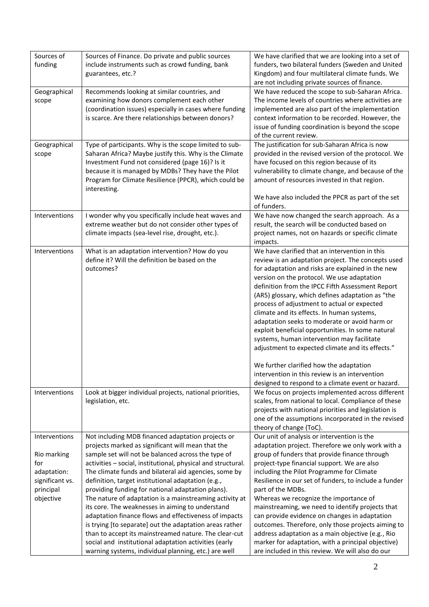| Sources of<br>funding                                                                           | Sources of Finance. Do private and public sources<br>include instruments such as crowd funding, bank<br>guarantees, etc.?                                                                                                                                                                                                                                                                                                                                                                                                                                                                                                                                                                                                                                                                                     | We have clarified that we are looking into a set of<br>funders, two bilateral funders (Sweden and United<br>Kingdom) and four multilateral climate funds. We<br>are not including private sources of finance.                                                                                                                                                                                                                                                                                                                                                                                                                                                                                                                                                          |
|-------------------------------------------------------------------------------------------------|---------------------------------------------------------------------------------------------------------------------------------------------------------------------------------------------------------------------------------------------------------------------------------------------------------------------------------------------------------------------------------------------------------------------------------------------------------------------------------------------------------------------------------------------------------------------------------------------------------------------------------------------------------------------------------------------------------------------------------------------------------------------------------------------------------------|------------------------------------------------------------------------------------------------------------------------------------------------------------------------------------------------------------------------------------------------------------------------------------------------------------------------------------------------------------------------------------------------------------------------------------------------------------------------------------------------------------------------------------------------------------------------------------------------------------------------------------------------------------------------------------------------------------------------------------------------------------------------|
| Geographical<br>scope                                                                           | Recommends looking at similar countries, and<br>examining how donors complement each other<br>(coordination issues) especially in cases where funding<br>is scarce. Are there relationships between donors?                                                                                                                                                                                                                                                                                                                                                                                                                                                                                                                                                                                                   | We have reduced the scope to sub-Saharan Africa.<br>The income levels of countries where activities are<br>implemented are also part of the implementation<br>context information to be recorded. However, the<br>issue of funding coordination is beyond the scope<br>of the current review.                                                                                                                                                                                                                                                                                                                                                                                                                                                                          |
| Geographical<br>scope                                                                           | Type of participants. Why is the scope limited to sub-<br>Saharan Africa? Maybe justify this. Why is the Climate<br>Investment Fund not considered (page 16)? Is it<br>because it is managed by MDBs? They have the Pilot<br>Program for Climate Resilience (PPCR), which could be<br>interesting.                                                                                                                                                                                                                                                                                                                                                                                                                                                                                                            | The justification for sub-Saharan Africa is now<br>provided in the revised version of the protocol. We<br>have focused on this region because of its<br>vulnerability to climate change, and because of the<br>amount of resources invested in that region.<br>We have also included the PPCR as part of the set<br>of funders.                                                                                                                                                                                                                                                                                                                                                                                                                                        |
| Interventions                                                                                   | I wonder why you specifically include heat waves and<br>extreme weather but do not consider other types of<br>climate impacts (sea-level rise, drought, etc.).                                                                                                                                                                                                                                                                                                                                                                                                                                                                                                                                                                                                                                                | We have now changed the search approach. As a<br>result, the search will be conducted based on<br>project names, not on hazards or specific climate<br>impacts.                                                                                                                                                                                                                                                                                                                                                                                                                                                                                                                                                                                                        |
| Interventions                                                                                   | What is an adaptation intervention? How do you<br>define it? Will the definition be based on the<br>outcomes?                                                                                                                                                                                                                                                                                                                                                                                                                                                                                                                                                                                                                                                                                                 | We have clarified that an intervention in this<br>review is an adaptation project. The concepts used<br>for adaptation and risks are explained in the new<br>version on the protocol. We use adaptation<br>definition from the IPCC Fifth Assessment Report<br>(AR5) glossary, which defines adaptation as "the<br>process of adjustment to actual or expected<br>climate and its effects. In human systems,<br>adaptation seeks to moderate or avoid harm or<br>exploit beneficial opportunities. In some natural<br>systems, human intervention may facilitate<br>adjustment to expected climate and its effects."<br>We further clarified how the adaptation<br>intervention in this review is an intervention<br>designed to respond to a climate event or hazard. |
| Interventions                                                                                   | Look at bigger individual projects, national priorities,<br>legislation, etc.                                                                                                                                                                                                                                                                                                                                                                                                                                                                                                                                                                                                                                                                                                                                 | We focus on projects implemented across different<br>scales, from national to local. Compliance of these<br>projects with national priorities and legislation is<br>one of the assumptions incorporated in the revised<br>theory of change (ToC).                                                                                                                                                                                                                                                                                                                                                                                                                                                                                                                      |
| Interventions<br>Rio marking<br>for<br>adaptation:<br>significant vs.<br>principal<br>objective | Not including MDB financed adaptation projects or<br>projects marked as significant will mean that the<br>sample set will not be balanced across the type of<br>activities - social, institutional, physical and structural.<br>The climate funds and bilateral aid agencies, some by<br>definition, target institutional adaptation (e.g.,<br>providing funding for national adaptation plans).<br>The nature of adaptation is a mainstreaming activity at<br>its core. The weaknesses in aiming to understand<br>adaptation finance flows and effectiveness of impacts<br>is trying [to separate] out the adaptation areas rather<br>than to accept its mainstreamed nature. The clear-cut<br>social and institutional adaptation activities (early<br>warning systems, individual planning, etc.) are well | Our unit of analysis or intervention is the<br>adaptation project. Therefore we only work with a<br>group of funders that provide finance through<br>project-type financial support. We are also<br>including the Pilot Programme for Climate<br>Resilience in our set of funders, to include a funder<br>part of the MDBs.<br>Whereas we recognize the importance of<br>mainstreaming, we need to identify projects that<br>can provide evidence on changes in adaptation<br>outcomes. Therefore, only those projects aiming to<br>address adaptation as a main objective (e.g., Rio<br>marker for adaptation, with a principal objective)<br>are included in this review. We will also do our                                                                        |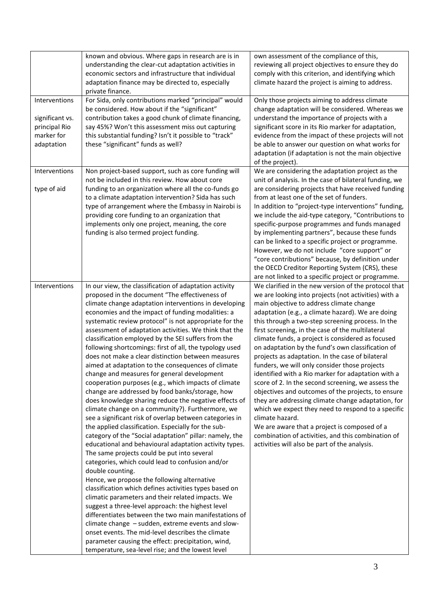|                                                                               | known and obvious. Where gaps in research are is in<br>understanding the clear-cut adaptation activities in<br>economic sectors and infrastructure that individual<br>adaptation finance may be directed to, especially<br>private finance.                                                                                                                                                                                                                                                                                                                                                                                                                                                                                                                                                                                                                                                                                                                                                                                                                                                                                                                                                                                                                                                                                                                                                                                                                                                                                                                                                                                                                                                                    | own assessment of the compliance of this,<br>reviewing all project objectives to ensure they do<br>comply with this criterion, and identifying which<br>climate hazard the project is aiming to address.                                                                                                                                                                                                                                                                                                                                                                                                                                                                                                                                                                                                                                                                                                                                                                                      |
|-------------------------------------------------------------------------------|----------------------------------------------------------------------------------------------------------------------------------------------------------------------------------------------------------------------------------------------------------------------------------------------------------------------------------------------------------------------------------------------------------------------------------------------------------------------------------------------------------------------------------------------------------------------------------------------------------------------------------------------------------------------------------------------------------------------------------------------------------------------------------------------------------------------------------------------------------------------------------------------------------------------------------------------------------------------------------------------------------------------------------------------------------------------------------------------------------------------------------------------------------------------------------------------------------------------------------------------------------------------------------------------------------------------------------------------------------------------------------------------------------------------------------------------------------------------------------------------------------------------------------------------------------------------------------------------------------------------------------------------------------------------------------------------------------------|-----------------------------------------------------------------------------------------------------------------------------------------------------------------------------------------------------------------------------------------------------------------------------------------------------------------------------------------------------------------------------------------------------------------------------------------------------------------------------------------------------------------------------------------------------------------------------------------------------------------------------------------------------------------------------------------------------------------------------------------------------------------------------------------------------------------------------------------------------------------------------------------------------------------------------------------------------------------------------------------------|
| Interventions<br>significant vs.<br>principal Rio<br>marker for<br>adaptation | For Sida, only contributions marked "principal" would<br>be considered. How about if the "significant"<br>contribution takes a good chunk of climate financing,<br>say 45%? Won't this assessment miss out capturing<br>this substantial funding? Isn't it possible to "track"<br>these "significant" funds as well?                                                                                                                                                                                                                                                                                                                                                                                                                                                                                                                                                                                                                                                                                                                                                                                                                                                                                                                                                                                                                                                                                                                                                                                                                                                                                                                                                                                           | Only those projects aiming to address climate<br>change adaptation will be considered. Whereas we<br>understand the importance of projects with a<br>significant score in its Rio marker for adaptation,<br>evidence from the impact of these projects will not<br>be able to answer our question on what works for<br>adaptation (if adaptation is not the main objective<br>of the project).                                                                                                                                                                                                                                                                                                                                                                                                                                                                                                                                                                                                |
| Interventions<br>type of aid                                                  | Non project-based support, such as core funding will<br>not be included in this review. How about core<br>funding to an organization where all the co-funds go<br>to a climate adaptation intervention? Sida has such<br>type of arrangement where the Embassy in Nairobi is<br>providing core funding to an organization that<br>implements only one project, meaning, the core<br>funding is also termed project funding.                                                                                                                                                                                                                                                                                                                                                                                                                                                                                                                                                                                                                                                                                                                                                                                                                                                                                                                                                                                                                                                                                                                                                                                                                                                                                    | We are considering the adaptation project as the<br>unit of analysis. In the case of bilateral funding, we<br>are considering projects that have received funding<br>from at least one of the set of funders.<br>In addition to "project-type interventions" funding,<br>we include the aid-type category, "Contributions to<br>specific-purpose programmes and funds managed<br>by implementing partners", because these funds<br>can be linked to a specific project or programme.<br>However, we do not include "core support" or<br>"core contributions" because, by definition under<br>the OECD Creditor Reporting System (CRS), these<br>are not linked to a specific project or programme.                                                                                                                                                                                                                                                                                            |
| Interventions                                                                 | In our view, the classification of adaptation activity<br>proposed in the document "The effectiveness of<br>climate change adaptation interventions in developing<br>economies and the impact of funding modalities: a<br>systematic review protocol" is not appropriate for the<br>assessment of adaptation activities. We think that the<br>classification employed by the SEI suffers from the<br>following shortcomings: first of all, the typology used<br>does not make a clear distinction between measures<br>aimed at adaptation to the consequences of climate<br>change and measures for general development<br>cooperation purposes (e.g., which impacts of climate<br>change are addressed by food banks/storage, how<br>does knowledge sharing reduce the negative effects of<br>climate change on a community?). Furthermore, we<br>see a significant risk of overlap between categories in<br>the applied classification. Especially for the sub-<br>category of the "Social adaptation" pillar: namely, the<br>educational and behavioural adaptation activity types.<br>The same projects could be put into several<br>categories, which could lead to confusion and/or<br>double counting.<br>Hence, we propose the following alternative<br>classification which defines activities types based on<br>climatic parameters and their related impacts. We<br>suggest a three-level approach: the highest level<br>differentiates between the two main manifestations of<br>climate change - sudden, extreme events and slow-<br>onset events. The mid-level describes the climate<br>parameter causing the effect: precipitation, wind,<br>temperature, sea-level rise; and the lowest level | We clarified in the new version of the protocol that<br>we are looking into projects (not activities) with a<br>main objective to address climate change<br>adaptation (e.g., a climate hazard). We are doing<br>this through a two-step screening process. In the<br>first screening, in the case of the multilateral<br>climate funds, a project is considered as focused<br>on adaptation by the fund's own classification of<br>projects as adaptation. In the case of bilateral<br>funders, we will only consider those projects<br>identified with a Rio marker for adaptation with a<br>score of 2. In the second screening, we assess the<br>objectives and outcomes of the projects, to ensure<br>they are addressing climate change adaptation, for<br>which we expect they need to respond to a specific<br>climate hazard.<br>We are aware that a project is composed of a<br>combination of activities, and this combination of<br>activities will also be part of the analysis. |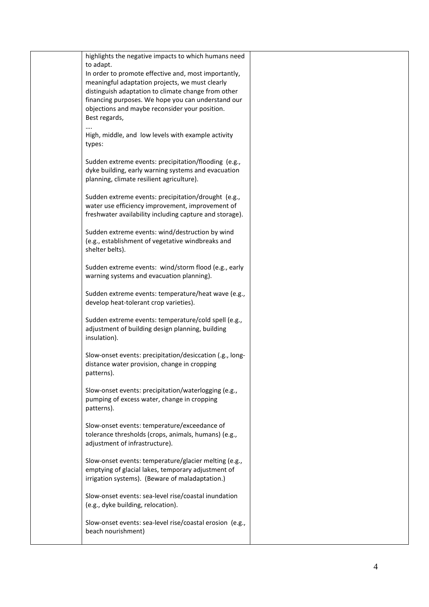| highlights the negative impacts to which humans need                                                                                                               |  |
|--------------------------------------------------------------------------------------------------------------------------------------------------------------------|--|
| to adapt.                                                                                                                                                          |  |
| In order to promote effective and, most importantly,                                                                                                               |  |
| meaningful adaptation projects, we must clearly<br>distinguish adaptation to climate change from other                                                             |  |
| financing purposes. We hope you can understand our<br>objections and maybe reconsider your position.                                                               |  |
| Best regards,                                                                                                                                                      |  |
| High, middle, and low levels with example activity<br>types:                                                                                                       |  |
| Sudden extreme events: precipitation/flooding (e.g.,<br>dyke building, early warning systems and evacuation<br>planning, climate resilient agriculture).           |  |
|                                                                                                                                                                    |  |
| Sudden extreme events: precipitation/drought (e.g.,<br>water use efficiency improvement, improvement of<br>freshwater availability including capture and storage). |  |
| Sudden extreme events: wind/destruction by wind                                                                                                                    |  |
| (e.g., establishment of vegetative windbreaks and<br>shelter belts).                                                                                               |  |
| Sudden extreme events: wind/storm flood (e.g., early<br>warning systems and evacuation planning).                                                                  |  |
| Sudden extreme events: temperature/heat wave (e.g.,<br>develop heat-tolerant crop varieties).                                                                      |  |
| Sudden extreme events: temperature/cold spell (e.g.,<br>adjustment of building design planning, building<br>insulation).                                           |  |
| Slow-onset events: precipitation/desiccation (.g., long-<br>distance water provision, change in cropping<br>patterns).                                             |  |
| Slow-onset events: precipitation/waterlogging (e.g.,<br>pumping of excess water, change in cropping<br>patterns).                                                  |  |
| Slow-onset events: temperature/exceedance of<br>tolerance thresholds (crops, animals, humans) (e.g.,<br>adjustment of infrastructure).                             |  |
| Slow-onset events: temperature/glacier melting (e.g.,<br>emptying of glacial lakes, temporary adjustment of<br>irrigation systems). (Beware of maladaptation.)     |  |
| Slow-onset events: sea-level rise/coastal inundation<br>(e.g., dyke building, relocation).                                                                         |  |
| Slow-onset events: sea-level rise/coastal erosion (e.g.,<br>beach nourishment)                                                                                     |  |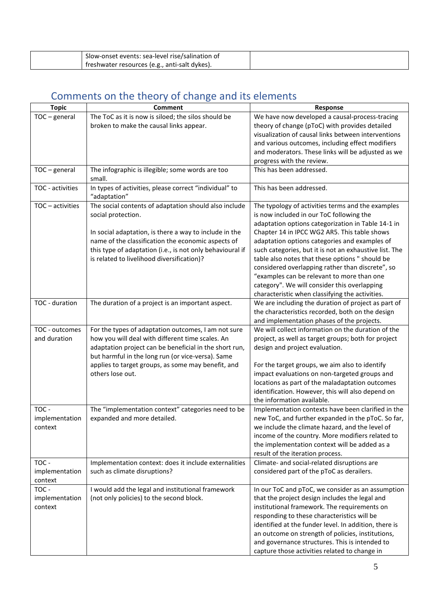| Slow-onset events: sea-level rise/salination of |  |
|-------------------------------------------------|--|
| treshwater resources (e.g., anti-salt dykes).   |  |

# <span id="page-4-0"></span>Comments on the theory of change and its elements

| <b>Topic</b>     | <b>Comment</b>                                                         | Response                                                                                          |
|------------------|------------------------------------------------------------------------|---------------------------------------------------------------------------------------------------|
| $TOC - general$  | The ToC as it is now is siloed; the silos should be                    | We have now developed a causal-process-tracing                                                    |
|                  | broken to make the causal links appear.                                | theory of change (pToC) with provides detailed                                                    |
|                  |                                                                        | visualization of causal links between interventions                                               |
|                  |                                                                        | and various outcomes, including effect modifiers                                                  |
|                  |                                                                        | and moderators. These links will be adjusted as we                                                |
|                  |                                                                        | progress with the review.                                                                         |
| $TOC - general$  | The infographic is illegible; some words are too<br>small.             | This has been addressed.                                                                          |
| TOC - activities | In types of activities, please correct "individual" to<br>"adaptation" | This has been addressed.                                                                          |
| TOC - activities | The social contents of adaptation should also include                  | The typology of activities terms and the examples                                                 |
|                  | social protection.                                                     | is now included in our ToC following the                                                          |
|                  |                                                                        | adaptation options categorization in Table 14-1 in                                                |
|                  | In social adaptation, is there a way to include in the                 | Chapter 14 in IPCC WG2 AR5. This table shows                                                      |
|                  | name of the classification the economic aspects of                     | adaptation options categories and examples of                                                     |
|                  | this type of adaptation (i.e., is not only behavioural if              | such categories, but it is not an exhaustive list. The                                            |
|                  | is related to livelihood diversification)?                             | table also notes that these options " should be                                                   |
|                  |                                                                        | considered overlapping rather than discrete", so                                                  |
|                  |                                                                        | "examples can be relevant to more than one<br>category". We will consider this overlapping        |
|                  |                                                                        | characteristic when classifying the activities.                                                   |
| TOC - duration   | The duration of a project is an important aspect.                      | We are including the duration of project as part of                                               |
|                  |                                                                        | the characteristics recorded, both on the design                                                  |
|                  |                                                                        | and implementation phases of the projects.                                                        |
| TOC - outcomes   | For the types of adaptation outcomes, I am not sure                    | We will collect information on the duration of the                                                |
| and duration     | how you will deal with different time scales. An                       | project, as well as target groups; both for project                                               |
|                  | adaptation project can be beneficial in the short run,                 | design and project evaluation.                                                                    |
|                  | but harmful in the long run (or vice-versa). Same                      |                                                                                                   |
|                  | applies to target groups, as some may benefit, and                     | For the target groups, we aim also to identify                                                    |
|                  | others lose out.                                                       | impact evaluations on non-targeted groups and                                                     |
|                  |                                                                        | locations as part of the maladaptation outcomes                                                   |
|                  |                                                                        | identification. However, this will also depend on                                                 |
|                  |                                                                        | the information available.                                                                        |
| TOC -            | The "implementation context" categories need to be                     | Implementation contexts have been clarified in the                                                |
| implementation   | expanded and more detailed.                                            | new ToC, and further expanded in the pToC. So far,                                                |
| context          |                                                                        | we include the climate hazard, and the level of                                                   |
|                  |                                                                        | income of the country. More modifiers related to<br>the implementation context will be added as a |
|                  |                                                                        | result of the iteration process.                                                                  |
| TOC -            | Implementation context: does it include externalities                  | Climate- and social-related disruptions are                                                       |
| implementation   | such as climate disruptions?                                           | considered part of the pToC as derailers.                                                         |
| context          |                                                                        |                                                                                                   |
| TOC -            | I would add the legal and institutional framework                      | In our ToC and pToC, we consider as an assumption                                                 |
| implementation   | (not only policies) to the second block.                               | that the project design includes the legal and                                                    |
| context          |                                                                        | institutional framework. The requirements on                                                      |
|                  |                                                                        | responding to these characteristics will be                                                       |
|                  |                                                                        | identified at the funder level. In addition, there is                                             |
|                  |                                                                        | an outcome on strength of policies, institutions,                                                 |
|                  |                                                                        | and governance structures. This is intended to                                                    |
|                  |                                                                        | capture those activities related to change in                                                     |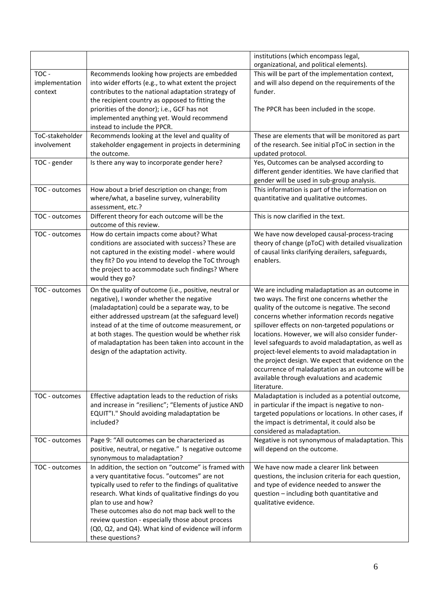| organizational, and political elements).<br>TOC -<br>This will be part of the implementation context,<br>Recommends looking how projects are embedded<br>and will also depend on the requirements of the<br>implementation<br>into wider efforts (e.g., to what extent the project<br>contributes to the national adaptation strategy of<br>context<br>funder.<br>the recipient country as opposed to fitting the<br>priorities of the donor); i.e., GCF has not<br>The PPCR has been included in the scope.<br>implemented anything yet. Would recommend<br>instead to include the PPCR.<br>ToC-stakeholder<br>Recommends looking at the level and quality of<br>These are elements that will be monitored as part<br>involvement<br>stakeholder engagement in projects in determining<br>of the research. See initial pToC in section in the<br>the outcome.<br>updated protocol.<br>Yes, Outcomes can be analysed according to<br>Is there any way to incorporate gender here?<br>TOC - gender<br>different gender identities. We have clarified that<br>gender will be used in sub-group analysis.<br>How about a brief description on change; from<br>This information is part of the information on<br>TOC - outcomes<br>where/what, a baseline survey, vulnerability<br>quantitative and qualitative outcomes.<br>assessment, etc.?<br>This is now clarified in the text.<br>TOC - outcomes<br>Different theory for each outcome will be the<br>outcome of this review.<br>How do certain impacts come about? What<br>We have now developed causal-process-tracing<br>TOC - outcomes<br>conditions are associated with success? These are<br>theory of change (pToC) with detailed visualization<br>not captured in the existing model - where would<br>of causal links clarifying derailers, safeguards,<br>they fit? Do you intend to develop the ToC through<br>enablers.<br>the project to accommodate such findings? Where<br>would they go?<br>On the quality of outcome (i.e., positive, neutral or<br>We are including maladaptation as an outcome in<br>TOC - outcomes<br>negative), I wonder whether the negative<br>two ways. The first one concerns whether the<br>(maladaptation) could be a separate way, to be<br>quality of the outcome is negative. The second<br>either addressed upstream (at the safeguard level)<br>concerns whether information records negative<br>instead of at the time of outcome measurement, or<br>spillover effects on non-targeted populations or<br>locations. However, we will also consider funder-<br>at both stages. The question would be whether risk<br>of maladaptation has been taken into account in the<br>level safeguards to avoid maladaptation, as well as<br>design of the adaptation activity.<br>project-level elements to avoid maladaptation in<br>the project design. We expect that evidence on the<br>occurrence of maladaptation as an outcome will be<br>available through evaluations and academic<br>literature.<br>TOC - outcomes<br>Effective adaptation leads to the reduction of risks<br>Maladaptation is included as a potential outcome,<br>and increase in "resilienc"; "Elements of justice AND<br>in particular if the impact is negative to non-<br>EQUIT"I." Should avoiding maladaptation be<br>targeted populations or locations. In other cases, if<br>included?<br>the impact is detrimental, it could also be<br>considered as maladaptation.<br>Page 9: "All outcomes can be characterized as<br>Negative is not synonymous of maladaptation. This<br>TOC - outcomes<br>positive, neutral, or negative." Is negative outcome<br>will depend on the outcome.<br>synonymous to maladaptation?<br>In addition, the section on "outcome" is framed with<br>We have now made a clearer link between<br>TOC - outcomes<br>a very quantitative focus. "outcomes" are not<br>questions, the inclusion criteria for each question,<br>typically used to refer to the findings of qualitative<br>and type of evidence needed to answer the<br>research. What kinds of qualitative findings do you<br>question - including both quantitative and<br>plan to use and how?<br>qualitative evidence.<br>These outcomes also do not map back well to the | review question - especially those about process |  |                                      |
|----------------------------------------------------------------------------------------------------------------------------------------------------------------------------------------------------------------------------------------------------------------------------------------------------------------------------------------------------------------------------------------------------------------------------------------------------------------------------------------------------------------------------------------------------------------------------------------------------------------------------------------------------------------------------------------------------------------------------------------------------------------------------------------------------------------------------------------------------------------------------------------------------------------------------------------------------------------------------------------------------------------------------------------------------------------------------------------------------------------------------------------------------------------------------------------------------------------------------------------------------------------------------------------------------------------------------------------------------------------------------------------------------------------------------------------------------------------------------------------------------------------------------------------------------------------------------------------------------------------------------------------------------------------------------------------------------------------------------------------------------------------------------------------------------------------------------------------------------------------------------------------------------------------------------------------------------------------------------------------------------------------------------------------------------------------------------------------------------------------------------------------------------------------------------------------------------------------------------------------------------------------------------------------------------------------------------------------------------------------------------------------------------------------------------------------------------------------------------------------------------------------------------------------------------------------------------------------------------------------------------------------------------------------------------------------------------------------------------------------------------------------------------------------------------------------------------------------------------------------------------------------------------------------------------------------------------------------------------------------------------------------------------------------------------------------------------------------------------------------------------------------------------------------------------------------------------------------------------------------------------------------------------------------------------------------------------------------------------------------------------------------------------------------------------------------------------------------------------------------------------------------------------------------------------------------------------------------------------------------------------------------------------------------------------------------------------------------------------------------------------------------------------------------------------------------------------------------------------------------------------------------------------------------------------------------------------------------------------------------------------------------------------------------------------------------------------------------------------------------------------------------------------------------------------------------------------------------------------------------------|--------------------------------------------------|--|--------------------------------------|
|                                                                                                                                                                                                                                                                                                                                                                                                                                                                                                                                                                                                                                                                                                                                                                                                                                                                                                                                                                                                                                                                                                                                                                                                                                                                                                                                                                                                                                                                                                                                                                                                                                                                                                                                                                                                                                                                                                                                                                                                                                                                                                                                                                                                                                                                                                                                                                                                                                                                                                                                                                                                                                                                                                                                                                                                                                                                                                                                                                                                                                                                                                                                                                                                                                                                                                                                                                                                                                                                                                                                                                                                                                                                                                                                                                                                                                                                                                                                                                                                                                                                                                                                                                                                                                              |                                                  |  | institutions (which encompass legal, |
|                                                                                                                                                                                                                                                                                                                                                                                                                                                                                                                                                                                                                                                                                                                                                                                                                                                                                                                                                                                                                                                                                                                                                                                                                                                                                                                                                                                                                                                                                                                                                                                                                                                                                                                                                                                                                                                                                                                                                                                                                                                                                                                                                                                                                                                                                                                                                                                                                                                                                                                                                                                                                                                                                                                                                                                                                                                                                                                                                                                                                                                                                                                                                                                                                                                                                                                                                                                                                                                                                                                                                                                                                                                                                                                                                                                                                                                                                                                                                                                                                                                                                                                                                                                                                                              |                                                  |  |                                      |
|                                                                                                                                                                                                                                                                                                                                                                                                                                                                                                                                                                                                                                                                                                                                                                                                                                                                                                                                                                                                                                                                                                                                                                                                                                                                                                                                                                                                                                                                                                                                                                                                                                                                                                                                                                                                                                                                                                                                                                                                                                                                                                                                                                                                                                                                                                                                                                                                                                                                                                                                                                                                                                                                                                                                                                                                                                                                                                                                                                                                                                                                                                                                                                                                                                                                                                                                                                                                                                                                                                                                                                                                                                                                                                                                                                                                                                                                                                                                                                                                                                                                                                                                                                                                                                              |                                                  |  |                                      |
|                                                                                                                                                                                                                                                                                                                                                                                                                                                                                                                                                                                                                                                                                                                                                                                                                                                                                                                                                                                                                                                                                                                                                                                                                                                                                                                                                                                                                                                                                                                                                                                                                                                                                                                                                                                                                                                                                                                                                                                                                                                                                                                                                                                                                                                                                                                                                                                                                                                                                                                                                                                                                                                                                                                                                                                                                                                                                                                                                                                                                                                                                                                                                                                                                                                                                                                                                                                                                                                                                                                                                                                                                                                                                                                                                                                                                                                                                                                                                                                                                                                                                                                                                                                                                                              |                                                  |  |                                      |
|                                                                                                                                                                                                                                                                                                                                                                                                                                                                                                                                                                                                                                                                                                                                                                                                                                                                                                                                                                                                                                                                                                                                                                                                                                                                                                                                                                                                                                                                                                                                                                                                                                                                                                                                                                                                                                                                                                                                                                                                                                                                                                                                                                                                                                                                                                                                                                                                                                                                                                                                                                                                                                                                                                                                                                                                                                                                                                                                                                                                                                                                                                                                                                                                                                                                                                                                                                                                                                                                                                                                                                                                                                                                                                                                                                                                                                                                                                                                                                                                                                                                                                                                                                                                                                              |                                                  |  |                                      |
|                                                                                                                                                                                                                                                                                                                                                                                                                                                                                                                                                                                                                                                                                                                                                                                                                                                                                                                                                                                                                                                                                                                                                                                                                                                                                                                                                                                                                                                                                                                                                                                                                                                                                                                                                                                                                                                                                                                                                                                                                                                                                                                                                                                                                                                                                                                                                                                                                                                                                                                                                                                                                                                                                                                                                                                                                                                                                                                                                                                                                                                                                                                                                                                                                                                                                                                                                                                                                                                                                                                                                                                                                                                                                                                                                                                                                                                                                                                                                                                                                                                                                                                                                                                                                                              |                                                  |  |                                      |
|                                                                                                                                                                                                                                                                                                                                                                                                                                                                                                                                                                                                                                                                                                                                                                                                                                                                                                                                                                                                                                                                                                                                                                                                                                                                                                                                                                                                                                                                                                                                                                                                                                                                                                                                                                                                                                                                                                                                                                                                                                                                                                                                                                                                                                                                                                                                                                                                                                                                                                                                                                                                                                                                                                                                                                                                                                                                                                                                                                                                                                                                                                                                                                                                                                                                                                                                                                                                                                                                                                                                                                                                                                                                                                                                                                                                                                                                                                                                                                                                                                                                                                                                                                                                                                              |                                                  |  |                                      |
|                                                                                                                                                                                                                                                                                                                                                                                                                                                                                                                                                                                                                                                                                                                                                                                                                                                                                                                                                                                                                                                                                                                                                                                                                                                                                                                                                                                                                                                                                                                                                                                                                                                                                                                                                                                                                                                                                                                                                                                                                                                                                                                                                                                                                                                                                                                                                                                                                                                                                                                                                                                                                                                                                                                                                                                                                                                                                                                                                                                                                                                                                                                                                                                                                                                                                                                                                                                                                                                                                                                                                                                                                                                                                                                                                                                                                                                                                                                                                                                                                                                                                                                                                                                                                                              |                                                  |  |                                      |
|                                                                                                                                                                                                                                                                                                                                                                                                                                                                                                                                                                                                                                                                                                                                                                                                                                                                                                                                                                                                                                                                                                                                                                                                                                                                                                                                                                                                                                                                                                                                                                                                                                                                                                                                                                                                                                                                                                                                                                                                                                                                                                                                                                                                                                                                                                                                                                                                                                                                                                                                                                                                                                                                                                                                                                                                                                                                                                                                                                                                                                                                                                                                                                                                                                                                                                                                                                                                                                                                                                                                                                                                                                                                                                                                                                                                                                                                                                                                                                                                                                                                                                                                                                                                                                              |                                                  |  |                                      |
|                                                                                                                                                                                                                                                                                                                                                                                                                                                                                                                                                                                                                                                                                                                                                                                                                                                                                                                                                                                                                                                                                                                                                                                                                                                                                                                                                                                                                                                                                                                                                                                                                                                                                                                                                                                                                                                                                                                                                                                                                                                                                                                                                                                                                                                                                                                                                                                                                                                                                                                                                                                                                                                                                                                                                                                                                                                                                                                                                                                                                                                                                                                                                                                                                                                                                                                                                                                                                                                                                                                                                                                                                                                                                                                                                                                                                                                                                                                                                                                                                                                                                                                                                                                                                                              |                                                  |  |                                      |
|                                                                                                                                                                                                                                                                                                                                                                                                                                                                                                                                                                                                                                                                                                                                                                                                                                                                                                                                                                                                                                                                                                                                                                                                                                                                                                                                                                                                                                                                                                                                                                                                                                                                                                                                                                                                                                                                                                                                                                                                                                                                                                                                                                                                                                                                                                                                                                                                                                                                                                                                                                                                                                                                                                                                                                                                                                                                                                                                                                                                                                                                                                                                                                                                                                                                                                                                                                                                                                                                                                                                                                                                                                                                                                                                                                                                                                                                                                                                                                                                                                                                                                                                                                                                                                              |                                                  |  |                                      |
|                                                                                                                                                                                                                                                                                                                                                                                                                                                                                                                                                                                                                                                                                                                                                                                                                                                                                                                                                                                                                                                                                                                                                                                                                                                                                                                                                                                                                                                                                                                                                                                                                                                                                                                                                                                                                                                                                                                                                                                                                                                                                                                                                                                                                                                                                                                                                                                                                                                                                                                                                                                                                                                                                                                                                                                                                                                                                                                                                                                                                                                                                                                                                                                                                                                                                                                                                                                                                                                                                                                                                                                                                                                                                                                                                                                                                                                                                                                                                                                                                                                                                                                                                                                                                                              |                                                  |  |                                      |
|                                                                                                                                                                                                                                                                                                                                                                                                                                                                                                                                                                                                                                                                                                                                                                                                                                                                                                                                                                                                                                                                                                                                                                                                                                                                                                                                                                                                                                                                                                                                                                                                                                                                                                                                                                                                                                                                                                                                                                                                                                                                                                                                                                                                                                                                                                                                                                                                                                                                                                                                                                                                                                                                                                                                                                                                                                                                                                                                                                                                                                                                                                                                                                                                                                                                                                                                                                                                                                                                                                                                                                                                                                                                                                                                                                                                                                                                                                                                                                                                                                                                                                                                                                                                                                              |                                                  |  |                                      |
|                                                                                                                                                                                                                                                                                                                                                                                                                                                                                                                                                                                                                                                                                                                                                                                                                                                                                                                                                                                                                                                                                                                                                                                                                                                                                                                                                                                                                                                                                                                                                                                                                                                                                                                                                                                                                                                                                                                                                                                                                                                                                                                                                                                                                                                                                                                                                                                                                                                                                                                                                                                                                                                                                                                                                                                                                                                                                                                                                                                                                                                                                                                                                                                                                                                                                                                                                                                                                                                                                                                                                                                                                                                                                                                                                                                                                                                                                                                                                                                                                                                                                                                                                                                                                                              |                                                  |  |                                      |
|                                                                                                                                                                                                                                                                                                                                                                                                                                                                                                                                                                                                                                                                                                                                                                                                                                                                                                                                                                                                                                                                                                                                                                                                                                                                                                                                                                                                                                                                                                                                                                                                                                                                                                                                                                                                                                                                                                                                                                                                                                                                                                                                                                                                                                                                                                                                                                                                                                                                                                                                                                                                                                                                                                                                                                                                                                                                                                                                                                                                                                                                                                                                                                                                                                                                                                                                                                                                                                                                                                                                                                                                                                                                                                                                                                                                                                                                                                                                                                                                                                                                                                                                                                                                                                              |                                                  |  |                                      |
|                                                                                                                                                                                                                                                                                                                                                                                                                                                                                                                                                                                                                                                                                                                                                                                                                                                                                                                                                                                                                                                                                                                                                                                                                                                                                                                                                                                                                                                                                                                                                                                                                                                                                                                                                                                                                                                                                                                                                                                                                                                                                                                                                                                                                                                                                                                                                                                                                                                                                                                                                                                                                                                                                                                                                                                                                                                                                                                                                                                                                                                                                                                                                                                                                                                                                                                                                                                                                                                                                                                                                                                                                                                                                                                                                                                                                                                                                                                                                                                                                                                                                                                                                                                                                                              |                                                  |  |                                      |
|                                                                                                                                                                                                                                                                                                                                                                                                                                                                                                                                                                                                                                                                                                                                                                                                                                                                                                                                                                                                                                                                                                                                                                                                                                                                                                                                                                                                                                                                                                                                                                                                                                                                                                                                                                                                                                                                                                                                                                                                                                                                                                                                                                                                                                                                                                                                                                                                                                                                                                                                                                                                                                                                                                                                                                                                                                                                                                                                                                                                                                                                                                                                                                                                                                                                                                                                                                                                                                                                                                                                                                                                                                                                                                                                                                                                                                                                                                                                                                                                                                                                                                                                                                                                                                              |                                                  |  |                                      |
|                                                                                                                                                                                                                                                                                                                                                                                                                                                                                                                                                                                                                                                                                                                                                                                                                                                                                                                                                                                                                                                                                                                                                                                                                                                                                                                                                                                                                                                                                                                                                                                                                                                                                                                                                                                                                                                                                                                                                                                                                                                                                                                                                                                                                                                                                                                                                                                                                                                                                                                                                                                                                                                                                                                                                                                                                                                                                                                                                                                                                                                                                                                                                                                                                                                                                                                                                                                                                                                                                                                                                                                                                                                                                                                                                                                                                                                                                                                                                                                                                                                                                                                                                                                                                                              |                                                  |  |                                      |
|                                                                                                                                                                                                                                                                                                                                                                                                                                                                                                                                                                                                                                                                                                                                                                                                                                                                                                                                                                                                                                                                                                                                                                                                                                                                                                                                                                                                                                                                                                                                                                                                                                                                                                                                                                                                                                                                                                                                                                                                                                                                                                                                                                                                                                                                                                                                                                                                                                                                                                                                                                                                                                                                                                                                                                                                                                                                                                                                                                                                                                                                                                                                                                                                                                                                                                                                                                                                                                                                                                                                                                                                                                                                                                                                                                                                                                                                                                                                                                                                                                                                                                                                                                                                                                              |                                                  |  |                                      |
|                                                                                                                                                                                                                                                                                                                                                                                                                                                                                                                                                                                                                                                                                                                                                                                                                                                                                                                                                                                                                                                                                                                                                                                                                                                                                                                                                                                                                                                                                                                                                                                                                                                                                                                                                                                                                                                                                                                                                                                                                                                                                                                                                                                                                                                                                                                                                                                                                                                                                                                                                                                                                                                                                                                                                                                                                                                                                                                                                                                                                                                                                                                                                                                                                                                                                                                                                                                                                                                                                                                                                                                                                                                                                                                                                                                                                                                                                                                                                                                                                                                                                                                                                                                                                                              |                                                  |  |                                      |
|                                                                                                                                                                                                                                                                                                                                                                                                                                                                                                                                                                                                                                                                                                                                                                                                                                                                                                                                                                                                                                                                                                                                                                                                                                                                                                                                                                                                                                                                                                                                                                                                                                                                                                                                                                                                                                                                                                                                                                                                                                                                                                                                                                                                                                                                                                                                                                                                                                                                                                                                                                                                                                                                                                                                                                                                                                                                                                                                                                                                                                                                                                                                                                                                                                                                                                                                                                                                                                                                                                                                                                                                                                                                                                                                                                                                                                                                                                                                                                                                                                                                                                                                                                                                                                              |                                                  |  |                                      |
|                                                                                                                                                                                                                                                                                                                                                                                                                                                                                                                                                                                                                                                                                                                                                                                                                                                                                                                                                                                                                                                                                                                                                                                                                                                                                                                                                                                                                                                                                                                                                                                                                                                                                                                                                                                                                                                                                                                                                                                                                                                                                                                                                                                                                                                                                                                                                                                                                                                                                                                                                                                                                                                                                                                                                                                                                                                                                                                                                                                                                                                                                                                                                                                                                                                                                                                                                                                                                                                                                                                                                                                                                                                                                                                                                                                                                                                                                                                                                                                                                                                                                                                                                                                                                                              |                                                  |  |                                      |
|                                                                                                                                                                                                                                                                                                                                                                                                                                                                                                                                                                                                                                                                                                                                                                                                                                                                                                                                                                                                                                                                                                                                                                                                                                                                                                                                                                                                                                                                                                                                                                                                                                                                                                                                                                                                                                                                                                                                                                                                                                                                                                                                                                                                                                                                                                                                                                                                                                                                                                                                                                                                                                                                                                                                                                                                                                                                                                                                                                                                                                                                                                                                                                                                                                                                                                                                                                                                                                                                                                                                                                                                                                                                                                                                                                                                                                                                                                                                                                                                                                                                                                                                                                                                                                              |                                                  |  |                                      |
|                                                                                                                                                                                                                                                                                                                                                                                                                                                                                                                                                                                                                                                                                                                                                                                                                                                                                                                                                                                                                                                                                                                                                                                                                                                                                                                                                                                                                                                                                                                                                                                                                                                                                                                                                                                                                                                                                                                                                                                                                                                                                                                                                                                                                                                                                                                                                                                                                                                                                                                                                                                                                                                                                                                                                                                                                                                                                                                                                                                                                                                                                                                                                                                                                                                                                                                                                                                                                                                                                                                                                                                                                                                                                                                                                                                                                                                                                                                                                                                                                                                                                                                                                                                                                                              |                                                  |  |                                      |
|                                                                                                                                                                                                                                                                                                                                                                                                                                                                                                                                                                                                                                                                                                                                                                                                                                                                                                                                                                                                                                                                                                                                                                                                                                                                                                                                                                                                                                                                                                                                                                                                                                                                                                                                                                                                                                                                                                                                                                                                                                                                                                                                                                                                                                                                                                                                                                                                                                                                                                                                                                                                                                                                                                                                                                                                                                                                                                                                                                                                                                                                                                                                                                                                                                                                                                                                                                                                                                                                                                                                                                                                                                                                                                                                                                                                                                                                                                                                                                                                                                                                                                                                                                                                                                              |                                                  |  |                                      |
|                                                                                                                                                                                                                                                                                                                                                                                                                                                                                                                                                                                                                                                                                                                                                                                                                                                                                                                                                                                                                                                                                                                                                                                                                                                                                                                                                                                                                                                                                                                                                                                                                                                                                                                                                                                                                                                                                                                                                                                                                                                                                                                                                                                                                                                                                                                                                                                                                                                                                                                                                                                                                                                                                                                                                                                                                                                                                                                                                                                                                                                                                                                                                                                                                                                                                                                                                                                                                                                                                                                                                                                                                                                                                                                                                                                                                                                                                                                                                                                                                                                                                                                                                                                                                                              |                                                  |  |                                      |
|                                                                                                                                                                                                                                                                                                                                                                                                                                                                                                                                                                                                                                                                                                                                                                                                                                                                                                                                                                                                                                                                                                                                                                                                                                                                                                                                                                                                                                                                                                                                                                                                                                                                                                                                                                                                                                                                                                                                                                                                                                                                                                                                                                                                                                                                                                                                                                                                                                                                                                                                                                                                                                                                                                                                                                                                                                                                                                                                                                                                                                                                                                                                                                                                                                                                                                                                                                                                                                                                                                                                                                                                                                                                                                                                                                                                                                                                                                                                                                                                                                                                                                                                                                                                                                              |                                                  |  |                                      |
|                                                                                                                                                                                                                                                                                                                                                                                                                                                                                                                                                                                                                                                                                                                                                                                                                                                                                                                                                                                                                                                                                                                                                                                                                                                                                                                                                                                                                                                                                                                                                                                                                                                                                                                                                                                                                                                                                                                                                                                                                                                                                                                                                                                                                                                                                                                                                                                                                                                                                                                                                                                                                                                                                                                                                                                                                                                                                                                                                                                                                                                                                                                                                                                                                                                                                                                                                                                                                                                                                                                                                                                                                                                                                                                                                                                                                                                                                                                                                                                                                                                                                                                                                                                                                                              |                                                  |  |                                      |
|                                                                                                                                                                                                                                                                                                                                                                                                                                                                                                                                                                                                                                                                                                                                                                                                                                                                                                                                                                                                                                                                                                                                                                                                                                                                                                                                                                                                                                                                                                                                                                                                                                                                                                                                                                                                                                                                                                                                                                                                                                                                                                                                                                                                                                                                                                                                                                                                                                                                                                                                                                                                                                                                                                                                                                                                                                                                                                                                                                                                                                                                                                                                                                                                                                                                                                                                                                                                                                                                                                                                                                                                                                                                                                                                                                                                                                                                                                                                                                                                                                                                                                                                                                                                                                              |                                                  |  |                                      |
|                                                                                                                                                                                                                                                                                                                                                                                                                                                                                                                                                                                                                                                                                                                                                                                                                                                                                                                                                                                                                                                                                                                                                                                                                                                                                                                                                                                                                                                                                                                                                                                                                                                                                                                                                                                                                                                                                                                                                                                                                                                                                                                                                                                                                                                                                                                                                                                                                                                                                                                                                                                                                                                                                                                                                                                                                                                                                                                                                                                                                                                                                                                                                                                                                                                                                                                                                                                                                                                                                                                                                                                                                                                                                                                                                                                                                                                                                                                                                                                                                                                                                                                                                                                                                                              |                                                  |  |                                      |
|                                                                                                                                                                                                                                                                                                                                                                                                                                                                                                                                                                                                                                                                                                                                                                                                                                                                                                                                                                                                                                                                                                                                                                                                                                                                                                                                                                                                                                                                                                                                                                                                                                                                                                                                                                                                                                                                                                                                                                                                                                                                                                                                                                                                                                                                                                                                                                                                                                                                                                                                                                                                                                                                                                                                                                                                                                                                                                                                                                                                                                                                                                                                                                                                                                                                                                                                                                                                                                                                                                                                                                                                                                                                                                                                                                                                                                                                                                                                                                                                                                                                                                                                                                                                                                              |                                                  |  |                                      |
|                                                                                                                                                                                                                                                                                                                                                                                                                                                                                                                                                                                                                                                                                                                                                                                                                                                                                                                                                                                                                                                                                                                                                                                                                                                                                                                                                                                                                                                                                                                                                                                                                                                                                                                                                                                                                                                                                                                                                                                                                                                                                                                                                                                                                                                                                                                                                                                                                                                                                                                                                                                                                                                                                                                                                                                                                                                                                                                                                                                                                                                                                                                                                                                                                                                                                                                                                                                                                                                                                                                                                                                                                                                                                                                                                                                                                                                                                                                                                                                                                                                                                                                                                                                                                                              |                                                  |  |                                      |
|                                                                                                                                                                                                                                                                                                                                                                                                                                                                                                                                                                                                                                                                                                                                                                                                                                                                                                                                                                                                                                                                                                                                                                                                                                                                                                                                                                                                                                                                                                                                                                                                                                                                                                                                                                                                                                                                                                                                                                                                                                                                                                                                                                                                                                                                                                                                                                                                                                                                                                                                                                                                                                                                                                                                                                                                                                                                                                                                                                                                                                                                                                                                                                                                                                                                                                                                                                                                                                                                                                                                                                                                                                                                                                                                                                                                                                                                                                                                                                                                                                                                                                                                                                                                                                              |                                                  |  |                                      |
|                                                                                                                                                                                                                                                                                                                                                                                                                                                                                                                                                                                                                                                                                                                                                                                                                                                                                                                                                                                                                                                                                                                                                                                                                                                                                                                                                                                                                                                                                                                                                                                                                                                                                                                                                                                                                                                                                                                                                                                                                                                                                                                                                                                                                                                                                                                                                                                                                                                                                                                                                                                                                                                                                                                                                                                                                                                                                                                                                                                                                                                                                                                                                                                                                                                                                                                                                                                                                                                                                                                                                                                                                                                                                                                                                                                                                                                                                                                                                                                                                                                                                                                                                                                                                                              |                                                  |  |                                      |
|                                                                                                                                                                                                                                                                                                                                                                                                                                                                                                                                                                                                                                                                                                                                                                                                                                                                                                                                                                                                                                                                                                                                                                                                                                                                                                                                                                                                                                                                                                                                                                                                                                                                                                                                                                                                                                                                                                                                                                                                                                                                                                                                                                                                                                                                                                                                                                                                                                                                                                                                                                                                                                                                                                                                                                                                                                                                                                                                                                                                                                                                                                                                                                                                                                                                                                                                                                                                                                                                                                                                                                                                                                                                                                                                                                                                                                                                                                                                                                                                                                                                                                                                                                                                                                              |                                                  |  |                                      |
|                                                                                                                                                                                                                                                                                                                                                                                                                                                                                                                                                                                                                                                                                                                                                                                                                                                                                                                                                                                                                                                                                                                                                                                                                                                                                                                                                                                                                                                                                                                                                                                                                                                                                                                                                                                                                                                                                                                                                                                                                                                                                                                                                                                                                                                                                                                                                                                                                                                                                                                                                                                                                                                                                                                                                                                                                                                                                                                                                                                                                                                                                                                                                                                                                                                                                                                                                                                                                                                                                                                                                                                                                                                                                                                                                                                                                                                                                                                                                                                                                                                                                                                                                                                                                                              |                                                  |  |                                      |
|                                                                                                                                                                                                                                                                                                                                                                                                                                                                                                                                                                                                                                                                                                                                                                                                                                                                                                                                                                                                                                                                                                                                                                                                                                                                                                                                                                                                                                                                                                                                                                                                                                                                                                                                                                                                                                                                                                                                                                                                                                                                                                                                                                                                                                                                                                                                                                                                                                                                                                                                                                                                                                                                                                                                                                                                                                                                                                                                                                                                                                                                                                                                                                                                                                                                                                                                                                                                                                                                                                                                                                                                                                                                                                                                                                                                                                                                                                                                                                                                                                                                                                                                                                                                                                              |                                                  |  |                                      |
|                                                                                                                                                                                                                                                                                                                                                                                                                                                                                                                                                                                                                                                                                                                                                                                                                                                                                                                                                                                                                                                                                                                                                                                                                                                                                                                                                                                                                                                                                                                                                                                                                                                                                                                                                                                                                                                                                                                                                                                                                                                                                                                                                                                                                                                                                                                                                                                                                                                                                                                                                                                                                                                                                                                                                                                                                                                                                                                                                                                                                                                                                                                                                                                                                                                                                                                                                                                                                                                                                                                                                                                                                                                                                                                                                                                                                                                                                                                                                                                                                                                                                                                                                                                                                                              |                                                  |  |                                      |
|                                                                                                                                                                                                                                                                                                                                                                                                                                                                                                                                                                                                                                                                                                                                                                                                                                                                                                                                                                                                                                                                                                                                                                                                                                                                                                                                                                                                                                                                                                                                                                                                                                                                                                                                                                                                                                                                                                                                                                                                                                                                                                                                                                                                                                                                                                                                                                                                                                                                                                                                                                                                                                                                                                                                                                                                                                                                                                                                                                                                                                                                                                                                                                                                                                                                                                                                                                                                                                                                                                                                                                                                                                                                                                                                                                                                                                                                                                                                                                                                                                                                                                                                                                                                                                              |                                                  |  |                                      |
|                                                                                                                                                                                                                                                                                                                                                                                                                                                                                                                                                                                                                                                                                                                                                                                                                                                                                                                                                                                                                                                                                                                                                                                                                                                                                                                                                                                                                                                                                                                                                                                                                                                                                                                                                                                                                                                                                                                                                                                                                                                                                                                                                                                                                                                                                                                                                                                                                                                                                                                                                                                                                                                                                                                                                                                                                                                                                                                                                                                                                                                                                                                                                                                                                                                                                                                                                                                                                                                                                                                                                                                                                                                                                                                                                                                                                                                                                                                                                                                                                                                                                                                                                                                                                                              |                                                  |  |                                      |
|                                                                                                                                                                                                                                                                                                                                                                                                                                                                                                                                                                                                                                                                                                                                                                                                                                                                                                                                                                                                                                                                                                                                                                                                                                                                                                                                                                                                                                                                                                                                                                                                                                                                                                                                                                                                                                                                                                                                                                                                                                                                                                                                                                                                                                                                                                                                                                                                                                                                                                                                                                                                                                                                                                                                                                                                                                                                                                                                                                                                                                                                                                                                                                                                                                                                                                                                                                                                                                                                                                                                                                                                                                                                                                                                                                                                                                                                                                                                                                                                                                                                                                                                                                                                                                              |                                                  |  |                                      |
|                                                                                                                                                                                                                                                                                                                                                                                                                                                                                                                                                                                                                                                                                                                                                                                                                                                                                                                                                                                                                                                                                                                                                                                                                                                                                                                                                                                                                                                                                                                                                                                                                                                                                                                                                                                                                                                                                                                                                                                                                                                                                                                                                                                                                                                                                                                                                                                                                                                                                                                                                                                                                                                                                                                                                                                                                                                                                                                                                                                                                                                                                                                                                                                                                                                                                                                                                                                                                                                                                                                                                                                                                                                                                                                                                                                                                                                                                                                                                                                                                                                                                                                                                                                                                                              |                                                  |  |                                      |
|                                                                                                                                                                                                                                                                                                                                                                                                                                                                                                                                                                                                                                                                                                                                                                                                                                                                                                                                                                                                                                                                                                                                                                                                                                                                                                                                                                                                                                                                                                                                                                                                                                                                                                                                                                                                                                                                                                                                                                                                                                                                                                                                                                                                                                                                                                                                                                                                                                                                                                                                                                                                                                                                                                                                                                                                                                                                                                                                                                                                                                                                                                                                                                                                                                                                                                                                                                                                                                                                                                                                                                                                                                                                                                                                                                                                                                                                                                                                                                                                                                                                                                                                                                                                                                              |                                                  |  |                                      |
|                                                                                                                                                                                                                                                                                                                                                                                                                                                                                                                                                                                                                                                                                                                                                                                                                                                                                                                                                                                                                                                                                                                                                                                                                                                                                                                                                                                                                                                                                                                                                                                                                                                                                                                                                                                                                                                                                                                                                                                                                                                                                                                                                                                                                                                                                                                                                                                                                                                                                                                                                                                                                                                                                                                                                                                                                                                                                                                                                                                                                                                                                                                                                                                                                                                                                                                                                                                                                                                                                                                                                                                                                                                                                                                                                                                                                                                                                                                                                                                                                                                                                                                                                                                                                                              |                                                  |  |                                      |
|                                                                                                                                                                                                                                                                                                                                                                                                                                                                                                                                                                                                                                                                                                                                                                                                                                                                                                                                                                                                                                                                                                                                                                                                                                                                                                                                                                                                                                                                                                                                                                                                                                                                                                                                                                                                                                                                                                                                                                                                                                                                                                                                                                                                                                                                                                                                                                                                                                                                                                                                                                                                                                                                                                                                                                                                                                                                                                                                                                                                                                                                                                                                                                                                                                                                                                                                                                                                                                                                                                                                                                                                                                                                                                                                                                                                                                                                                                                                                                                                                                                                                                                                                                                                                                              |                                                  |  |                                      |
|                                                                                                                                                                                                                                                                                                                                                                                                                                                                                                                                                                                                                                                                                                                                                                                                                                                                                                                                                                                                                                                                                                                                                                                                                                                                                                                                                                                                                                                                                                                                                                                                                                                                                                                                                                                                                                                                                                                                                                                                                                                                                                                                                                                                                                                                                                                                                                                                                                                                                                                                                                                                                                                                                                                                                                                                                                                                                                                                                                                                                                                                                                                                                                                                                                                                                                                                                                                                                                                                                                                                                                                                                                                                                                                                                                                                                                                                                                                                                                                                                                                                                                                                                                                                                                              |                                                  |  |                                      |
|                                                                                                                                                                                                                                                                                                                                                                                                                                                                                                                                                                                                                                                                                                                                                                                                                                                                                                                                                                                                                                                                                                                                                                                                                                                                                                                                                                                                                                                                                                                                                                                                                                                                                                                                                                                                                                                                                                                                                                                                                                                                                                                                                                                                                                                                                                                                                                                                                                                                                                                                                                                                                                                                                                                                                                                                                                                                                                                                                                                                                                                                                                                                                                                                                                                                                                                                                                                                                                                                                                                                                                                                                                                                                                                                                                                                                                                                                                                                                                                                                                                                                                                                                                                                                                              |                                                  |  |                                      |
|                                                                                                                                                                                                                                                                                                                                                                                                                                                                                                                                                                                                                                                                                                                                                                                                                                                                                                                                                                                                                                                                                                                                                                                                                                                                                                                                                                                                                                                                                                                                                                                                                                                                                                                                                                                                                                                                                                                                                                                                                                                                                                                                                                                                                                                                                                                                                                                                                                                                                                                                                                                                                                                                                                                                                                                                                                                                                                                                                                                                                                                                                                                                                                                                                                                                                                                                                                                                                                                                                                                                                                                                                                                                                                                                                                                                                                                                                                                                                                                                                                                                                                                                                                                                                                              |                                                  |  |                                      |
|                                                                                                                                                                                                                                                                                                                                                                                                                                                                                                                                                                                                                                                                                                                                                                                                                                                                                                                                                                                                                                                                                                                                                                                                                                                                                                                                                                                                                                                                                                                                                                                                                                                                                                                                                                                                                                                                                                                                                                                                                                                                                                                                                                                                                                                                                                                                                                                                                                                                                                                                                                                                                                                                                                                                                                                                                                                                                                                                                                                                                                                                                                                                                                                                                                                                                                                                                                                                                                                                                                                                                                                                                                                                                                                                                                                                                                                                                                                                                                                                                                                                                                                                                                                                                                              |                                                  |  |                                      |
|                                                                                                                                                                                                                                                                                                                                                                                                                                                                                                                                                                                                                                                                                                                                                                                                                                                                                                                                                                                                                                                                                                                                                                                                                                                                                                                                                                                                                                                                                                                                                                                                                                                                                                                                                                                                                                                                                                                                                                                                                                                                                                                                                                                                                                                                                                                                                                                                                                                                                                                                                                                                                                                                                                                                                                                                                                                                                                                                                                                                                                                                                                                                                                                                                                                                                                                                                                                                                                                                                                                                                                                                                                                                                                                                                                                                                                                                                                                                                                                                                                                                                                                                                                                                                                              |                                                  |  |                                      |
|                                                                                                                                                                                                                                                                                                                                                                                                                                                                                                                                                                                                                                                                                                                                                                                                                                                                                                                                                                                                                                                                                                                                                                                                                                                                                                                                                                                                                                                                                                                                                                                                                                                                                                                                                                                                                                                                                                                                                                                                                                                                                                                                                                                                                                                                                                                                                                                                                                                                                                                                                                                                                                                                                                                                                                                                                                                                                                                                                                                                                                                                                                                                                                                                                                                                                                                                                                                                                                                                                                                                                                                                                                                                                                                                                                                                                                                                                                                                                                                                                                                                                                                                                                                                                                              |                                                  |  |                                      |
|                                                                                                                                                                                                                                                                                                                                                                                                                                                                                                                                                                                                                                                                                                                                                                                                                                                                                                                                                                                                                                                                                                                                                                                                                                                                                                                                                                                                                                                                                                                                                                                                                                                                                                                                                                                                                                                                                                                                                                                                                                                                                                                                                                                                                                                                                                                                                                                                                                                                                                                                                                                                                                                                                                                                                                                                                                                                                                                                                                                                                                                                                                                                                                                                                                                                                                                                                                                                                                                                                                                                                                                                                                                                                                                                                                                                                                                                                                                                                                                                                                                                                                                                                                                                                                              |                                                  |  |                                      |
|                                                                                                                                                                                                                                                                                                                                                                                                                                                                                                                                                                                                                                                                                                                                                                                                                                                                                                                                                                                                                                                                                                                                                                                                                                                                                                                                                                                                                                                                                                                                                                                                                                                                                                                                                                                                                                                                                                                                                                                                                                                                                                                                                                                                                                                                                                                                                                                                                                                                                                                                                                                                                                                                                                                                                                                                                                                                                                                                                                                                                                                                                                                                                                                                                                                                                                                                                                                                                                                                                                                                                                                                                                                                                                                                                                                                                                                                                                                                                                                                                                                                                                                                                                                                                                              |                                                  |  |                                      |
|                                                                                                                                                                                                                                                                                                                                                                                                                                                                                                                                                                                                                                                                                                                                                                                                                                                                                                                                                                                                                                                                                                                                                                                                                                                                                                                                                                                                                                                                                                                                                                                                                                                                                                                                                                                                                                                                                                                                                                                                                                                                                                                                                                                                                                                                                                                                                                                                                                                                                                                                                                                                                                                                                                                                                                                                                                                                                                                                                                                                                                                                                                                                                                                                                                                                                                                                                                                                                                                                                                                                                                                                                                                                                                                                                                                                                                                                                                                                                                                                                                                                                                                                                                                                                                              |                                                  |  |                                      |
|                                                                                                                                                                                                                                                                                                                                                                                                                                                                                                                                                                                                                                                                                                                                                                                                                                                                                                                                                                                                                                                                                                                                                                                                                                                                                                                                                                                                                                                                                                                                                                                                                                                                                                                                                                                                                                                                                                                                                                                                                                                                                                                                                                                                                                                                                                                                                                                                                                                                                                                                                                                                                                                                                                                                                                                                                                                                                                                                                                                                                                                                                                                                                                                                                                                                                                                                                                                                                                                                                                                                                                                                                                                                                                                                                                                                                                                                                                                                                                                                                                                                                                                                                                                                                                              |                                                  |  |                                      |
|                                                                                                                                                                                                                                                                                                                                                                                                                                                                                                                                                                                                                                                                                                                                                                                                                                                                                                                                                                                                                                                                                                                                                                                                                                                                                                                                                                                                                                                                                                                                                                                                                                                                                                                                                                                                                                                                                                                                                                                                                                                                                                                                                                                                                                                                                                                                                                                                                                                                                                                                                                                                                                                                                                                                                                                                                                                                                                                                                                                                                                                                                                                                                                                                                                                                                                                                                                                                                                                                                                                                                                                                                                                                                                                                                                                                                                                                                                                                                                                                                                                                                                                                                                                                                                              |                                                  |  |                                      |
|                                                                                                                                                                                                                                                                                                                                                                                                                                                                                                                                                                                                                                                                                                                                                                                                                                                                                                                                                                                                                                                                                                                                                                                                                                                                                                                                                                                                                                                                                                                                                                                                                                                                                                                                                                                                                                                                                                                                                                                                                                                                                                                                                                                                                                                                                                                                                                                                                                                                                                                                                                                                                                                                                                                                                                                                                                                                                                                                                                                                                                                                                                                                                                                                                                                                                                                                                                                                                                                                                                                                                                                                                                                                                                                                                                                                                                                                                                                                                                                                                                                                                                                                                                                                                                              |                                                  |  |                                      |
| (Q0, Q2, and Q4). What kind of evidence will inform                                                                                                                                                                                                                                                                                                                                                                                                                                                                                                                                                                                                                                                                                                                                                                                                                                                                                                                                                                                                                                                                                                                                                                                                                                                                                                                                                                                                                                                                                                                                                                                                                                                                                                                                                                                                                                                                                                                                                                                                                                                                                                                                                                                                                                                                                                                                                                                                                                                                                                                                                                                                                                                                                                                                                                                                                                                                                                                                                                                                                                                                                                                                                                                                                                                                                                                                                                                                                                                                                                                                                                                                                                                                                                                                                                                                                                                                                                                                                                                                                                                                                                                                                                                          |                                                  |  |                                      |
|                                                                                                                                                                                                                                                                                                                                                                                                                                                                                                                                                                                                                                                                                                                                                                                                                                                                                                                                                                                                                                                                                                                                                                                                                                                                                                                                                                                                                                                                                                                                                                                                                                                                                                                                                                                                                                                                                                                                                                                                                                                                                                                                                                                                                                                                                                                                                                                                                                                                                                                                                                                                                                                                                                                                                                                                                                                                                                                                                                                                                                                                                                                                                                                                                                                                                                                                                                                                                                                                                                                                                                                                                                                                                                                                                                                                                                                                                                                                                                                                                                                                                                                                                                                                                                              | these questions?                                 |  |                                      |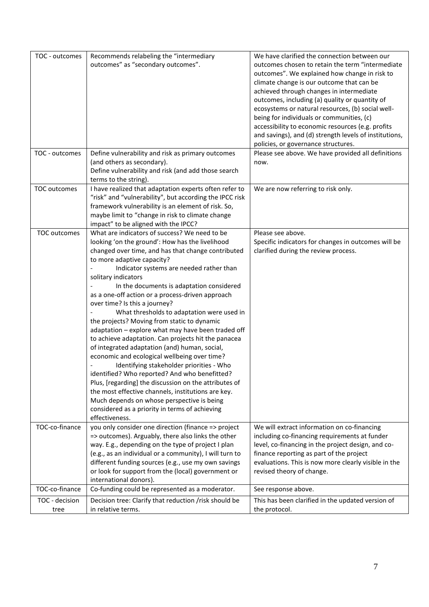| TOC - outcomes | Recommends relabeling the "intermediary                                                                     | We have clarified the connection between our                                              |
|----------------|-------------------------------------------------------------------------------------------------------------|-------------------------------------------------------------------------------------------|
|                | outcomes" as "secondary outcomes".                                                                          | outcomes chosen to retain the term "intermediate                                          |
|                |                                                                                                             | outcomes". We explained how change in risk to                                             |
|                |                                                                                                             | climate change is our outcome that can be                                                 |
|                |                                                                                                             | achieved through changes in intermediate                                                  |
|                |                                                                                                             | outcomes, including (a) quality or quantity of                                            |
|                |                                                                                                             | ecosystems or natural resources, (b) social well-                                         |
|                |                                                                                                             | being for individuals or communities, (c)                                                 |
|                |                                                                                                             | accessibility to economic resources (e.g. profits                                         |
|                |                                                                                                             | and savings), and (d) strength levels of institutions,                                    |
| TOC - outcomes | Define vulnerability and risk as primary outcomes                                                           | policies, or governance structures.<br>Please see above. We have provided all definitions |
|                | (and others as secondary).                                                                                  | now.                                                                                      |
|                | Define vulnerability and risk (and add those search                                                         |                                                                                           |
|                | terms to the string).                                                                                       |                                                                                           |
| TOC outcomes   | I have realized that adaptation experts often refer to                                                      | We are now referring to risk only.                                                        |
|                | "risk" and "vulnerability", but according the IPCC risk                                                     |                                                                                           |
|                | framework vulnerability is an element of risk. So,                                                          |                                                                                           |
|                | maybe limit to "change in risk to climate change                                                            |                                                                                           |
|                | impact" to be aligned with the IPCC?                                                                        |                                                                                           |
| TOC outcomes   | What are indicators of success? We need to be                                                               | Please see above.                                                                         |
|                | looking 'on the ground': How has the livelihood                                                             | Specific indicators for changes in outcomes will be                                       |
|                | changed over time, and has that change contributed                                                          | clarified during the review process.                                                      |
|                | to more adaptive capacity?                                                                                  |                                                                                           |
|                | Indicator systems are needed rather than                                                                    |                                                                                           |
|                | solitary indicators                                                                                         |                                                                                           |
|                | In the documents is adaptation considered                                                                   |                                                                                           |
|                | as a one-off action or a process-driven approach                                                            |                                                                                           |
|                | over time? Is this a journey?                                                                               |                                                                                           |
|                | What thresholds to adaptation were used in                                                                  |                                                                                           |
|                | the projects? Moving from static to dynamic                                                                 |                                                                                           |
|                | adaptation - explore what may have been traded off                                                          |                                                                                           |
|                | to achieve adaptation. Can projects hit the panacea                                                         |                                                                                           |
|                | of integrated adaptation (and) human, social,                                                               |                                                                                           |
|                | economic and ecological wellbeing over time?                                                                |                                                                                           |
|                | Identifying stakeholder priorities - Who                                                                    |                                                                                           |
|                | identified? Who reported? And who benefitted?                                                               |                                                                                           |
|                | Plus, [regarding] the discussion on the attributes of<br>the most effective channels, institutions are key. |                                                                                           |
|                | Much depends on whose perspective is being                                                                  |                                                                                           |
|                | considered as a priority in terms of achieving                                                              |                                                                                           |
|                | effectiveness.                                                                                              |                                                                                           |
| TOC-co-finance | you only consider one direction (finance => project                                                         | We will extract information on co-financing                                               |
|                | => outcomes). Arguably, there also links the other                                                          | including co-financing requirements at funder                                             |
|                | way. E.g., depending on the type of project I plan                                                          | level, co-financing in the project design, and co-                                        |
|                | (e.g., as an individual or a community), I will turn to                                                     | finance reporting as part of the project                                                  |
|                | different funding sources (e.g., use my own savings                                                         | evaluations. This is now more clearly visible in the                                      |
|                | or look for support from the (local) government or                                                          | revised theory of change.                                                                 |
|                | international donors).                                                                                      |                                                                                           |
| TOC-co-finance | Co-funding could be represented as a moderator.                                                             | See response above.                                                                       |
| TOC - decision | Decision tree: Clarify that reduction /risk should be                                                       | This has been clarified in the updated version of                                         |
| tree           | in relative terms.                                                                                          | the protocol.                                                                             |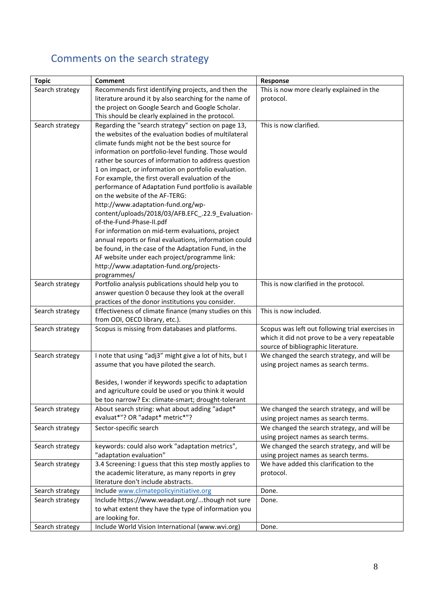## <span id="page-7-0"></span>Comments on the search strategy

| <b>Topic</b>    | <b>Comment</b>                                                                                           | Response                                         |
|-----------------|----------------------------------------------------------------------------------------------------------|--------------------------------------------------|
| Search strategy | Recommends first identifying projects, and then the                                                      | This is now more clearly explained in the        |
|                 | literature around it by also searching for the name of                                                   | protocol.                                        |
|                 | the project on Google Search and Google Scholar.                                                         |                                                  |
|                 | This should be clearly explained in the protocol.                                                        |                                                  |
| Search strategy | Regarding the "search strategy" section on page 13,                                                      | This is now clarified.                           |
|                 | the websites of the evaluation bodies of multilateral                                                    |                                                  |
|                 | climate funds might not be the best source for                                                           |                                                  |
|                 | information on portfolio-level funding. Those would                                                      |                                                  |
|                 | rather be sources of information to address question                                                     |                                                  |
|                 | 1 on impact, or information on portfolio evaluation.                                                     |                                                  |
|                 | For example, the first overall evaluation of the                                                         |                                                  |
|                 | performance of Adaptation Fund portfolio is available                                                    |                                                  |
|                 | on the website of the AF-TERG:                                                                           |                                                  |
|                 | http://www.adaptation-fund.org/wp-                                                                       |                                                  |
|                 | content/uploads/2018/03/AFB.EFC_.22.9_Evaluation-                                                        |                                                  |
|                 | of-the-Fund-Phase-II.pdf                                                                                 |                                                  |
|                 | For information on mid-term evaluations, project                                                         |                                                  |
|                 | annual reports or final evaluations, information could                                                   |                                                  |
|                 | be found, in the case of the Adaptation Fund, in the                                                     |                                                  |
|                 | AF website under each project/programme link:                                                            |                                                  |
|                 | http://www.adaptation-fund.org/projects-                                                                 |                                                  |
|                 | programmes/                                                                                              |                                                  |
| Search strategy | Portfolio analysis publications should help you to<br>answer question 0 because they look at the overall | This is now clarified in the protocol.           |
|                 | practices of the donor institutions you consider.                                                        |                                                  |
| Search strategy | Effectiveness of climate finance (many studies on this                                                   | This is now included.                            |
|                 | from ODI, OECD library, etc.).                                                                           |                                                  |
| Search strategy | Scopus is missing from databases and platforms.                                                          | Scopus was left out following trial exercises in |
|                 |                                                                                                          | which it did not prove to be a very repeatable   |
|                 |                                                                                                          | source of bibliographic literature.              |
| Search strategy | I note that using "adj3" might give a lot of hits, but I                                                 | We changed the search strategy, and will be      |
|                 | assume that you have piloted the search.                                                                 | using project names as search terms.             |
|                 |                                                                                                          |                                                  |
|                 | Besides, I wonder if keywords specific to adaptation                                                     |                                                  |
|                 | and agriculture could be used or you think it would                                                      |                                                  |
|                 | be too narrow? Ex: climate-smart; drought-tolerant                                                       |                                                  |
| Search strategy | About search string: what about adding "adapt*                                                           | We changed the search strategy, and will be      |
|                 | evaluat*"? OR "adapt* metric*"?                                                                          | using project names as search terms.             |
| Search strategy | Sector-specific search                                                                                   | We changed the search strategy, and will be      |
|                 |                                                                                                          | using project names as search terms.             |
| Search strategy | keywords: could also work "adaptation metrics",                                                          | We changed the search strategy, and will be      |
|                 | "adaptation evaluation"                                                                                  | using project names as search terms.             |
| Search strategy | 3.4 Screening: I guess that this step mostly applies to                                                  | We have added this clarification to the          |
|                 | the academic literature, as many reports in grey                                                         | protocol.                                        |
|                 | literature don't include abstracts.                                                                      |                                                  |
| Search strategy | Include www.climatepolicyinitiative.org                                                                  | Done.                                            |
| Search strategy | Include https://www.weadapt.org/though not sure                                                          | Done.                                            |
|                 | to what extent they have the type of information you                                                     |                                                  |
|                 | are looking for.                                                                                         |                                                  |
| Search strategy | Include World Vision International (www.wvi.org)                                                         | Done.                                            |